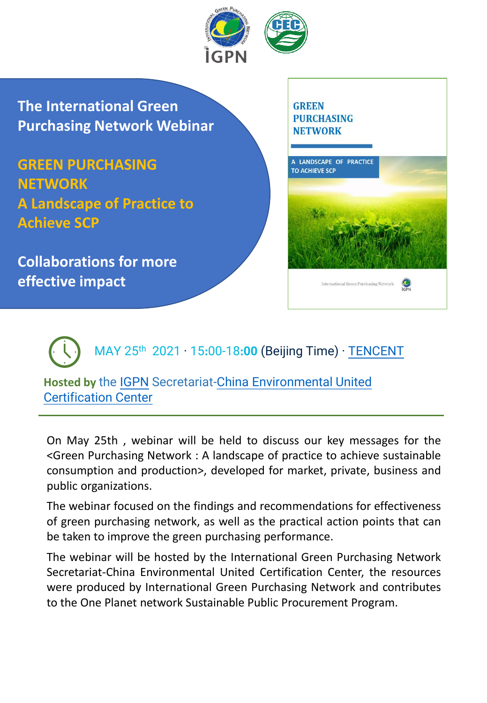

**The International Green Purchasing Network Webinar**

**GREEN PURCHASING NETWORK A Landscape of Practice to Achieve SCP**

**Collaborations for more effective impact** 



MAY 25th 2021 · 15**:**00-18**:00** (Beijing Time) · [TENCENT](https://meeting.tencent.com/s/GsmdHqTvDg12)

**Hosted by** the [IGPN](http://www.igpn.org/) [Secretariat-China Environmental United](http://www.mepcec.com/)  Certification Center

On May 25th , webinar will be held to discuss our key messages for the <Green Purchasing Network : A landscape of practice to achieve sustainable consumption and production>, developed for market, private, business and public organizations.

The webinar focused on the findings and recommendations for effectiveness of green purchasing network, as well as the practical action points that can be taken to improve the green purchasing performance.

The webinar will be hosted by the International Green Purchasing Network Secretariat-China Environmental United Certification Center, the resources were produced by International Green Purchasing Network and contributes to the One Planet network Sustainable Public Procurement Program.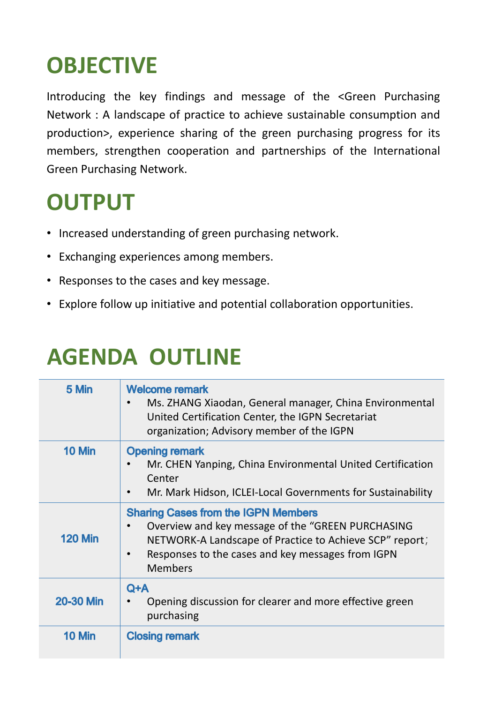## **OBJECTIVE**

Introducing the key findings and message of the <Green Purchasing Network : A landscape of practice to achieve sustainable consumption and production>, experience sharing of the green purchasing progress for its members, strengthen cooperation and partnerships of the International Green Purchasing Network.

## **OUTPUT**

- Increased understanding of green purchasing network.
- Exchanging experiences among members.
- Responses to the cases and key message.
- Explore follow up initiative and potential collaboration opportunities.

## **AGENDA OUTLINE**

| 5 Min            | <b>Welcome remark</b><br>Ms. ZHANG Xiaodan, General manager, China Environmental<br>United Certification Center, the IGPN Secretariat<br>organization; Advisory member of the IGPN                                                             |
|------------------|------------------------------------------------------------------------------------------------------------------------------------------------------------------------------------------------------------------------------------------------|
| 10 Min           | <b>Opening remark</b><br>Mr. CHEN Yanping, China Environmental United Certification<br>Center<br>Mr. Mark Hidson, ICLEI-Local Governments for Sustainability<br>$\bullet$                                                                      |
| <b>120 Min</b>   | <b>Sharing Cases from the IGPN Members</b><br>Overview and key message of the "GREEN PURCHASING<br>NETWORK-A Landscape of Practice to Achieve SCP" report;<br>Responses to the cases and key messages from IGPN<br>$\bullet$<br><b>Members</b> |
| <b>20-30 Min</b> | $Q+A$<br>Opening discussion for clearer and more effective green<br>purchasing                                                                                                                                                                 |
| <b>10 Min</b>    | <b>Closing remark</b>                                                                                                                                                                                                                          |